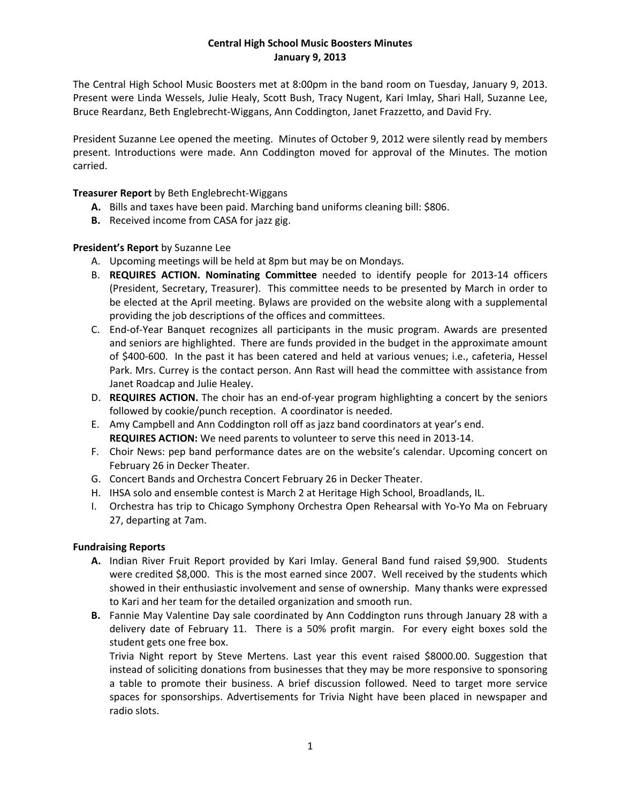## **Central High School Music Boosters Minutes January 9, 2013**

The Central High School Music Boosters met at 8:00pm in the band room on Tuesday, January 9, 2013. Present were Linda Wessels, Julie Healy, Scott Bush, Tracy Nugent, Kari Imlay, Shari Hall, Suzanne Lee, Bruce Reardanz, Beth Englebrecht‐Wiggans, Ann Coddington, Janet Frazzetto, and David Fry.

President Suzanne Lee opened the meeting. Minutes of October 9, 2012 were silently read by members present. Introductions were made. Ann Coddington moved for approval of the Minutes. The motion carried.

## **Treasurer Report** by Beth Englebrecht‐Wiggans

- **A.** Bills and taxes have been paid. Marching band uniforms cleaning bill: \$806.
- **B.** Received income from CASA for jazz gig.

# **President's Report** by Suzanne Lee

- A. Upcoming meetings will be held at 8pm but may be on Mondays.
- B. **REQUIRES ACTION. Nominating Committee** needed to identify people for 2013‐14 officers (President, Secretary, Treasurer). This committee needs to be presented by March in order to be elected at the April meeting. Bylaws are provided on the website along with a supplemental providing the job descriptions of the offices and committees.
- C. End‐of‐Year Banquet recognizes all participants in the music program. Awards are presented and seniors are highlighted. There are funds provided in the budget in the approximate amount of \$400‐600. In the past it has been catered and held at various venues; i.e., cafeteria, Hessel Park. Mrs. Currey is the contact person. Ann Rast will head the committee with assistance from Janet Roadcap and Julie Healey.
- D. **REQUIRES ACTION.** The choir has an end‐of‐year program highlighting a concert by the seniors followed by cookie/punch reception. A coordinator is needed.
- E. Amy Campbell and Ann Coddington roll off as jazz band coordinators at year's end. **REQUIRES ACTION:** We need parents to volunteer to serve this need in 2013‐14.
- F. Choir News: pep band performance dates are on the website's calendar. Upcoming concert on February 26 in Decker Theater.
- G. Concert Bands and Orchestra Concert February 26 in Decker Theater.
- H. IHSA solo and ensemble contest is March 2 at Heritage High School, Broadlands, IL.
- I. Orchestra has trip to Chicago Symphony Orchestra Open Rehearsal with Yo‐Yo Ma on February 27, departing at 7am.

## **Fundraising Reports**

- **A.** Indian River Fruit Report provided by Kari Imlay. General Band fund raised \$9,900. Students were credited \$8,000. This is the most earned since 2007. Well received by the students which showed in their enthusiastic involvement and sense of ownership. Many thanks were expressed to Kari and her team for the detailed organization and smooth run.
- **B.** Fannie May Valentine Day sale coordinated by Ann Coddington runs through January 28 with a delivery date of February 11. There is a 50% profit margin. For every eight boxes sold the student gets one free box.

Trivia Night report by Steve Mertens. Last year this event raised \$8000.00. Suggestion that instead of soliciting donations from businesses that they may be more responsive to sponsoring a table to promote their business. A brief discussion followed. Need to target more service spaces for sponsorships. Advertisements for Trivia Night have been placed in newspaper and radio slots.